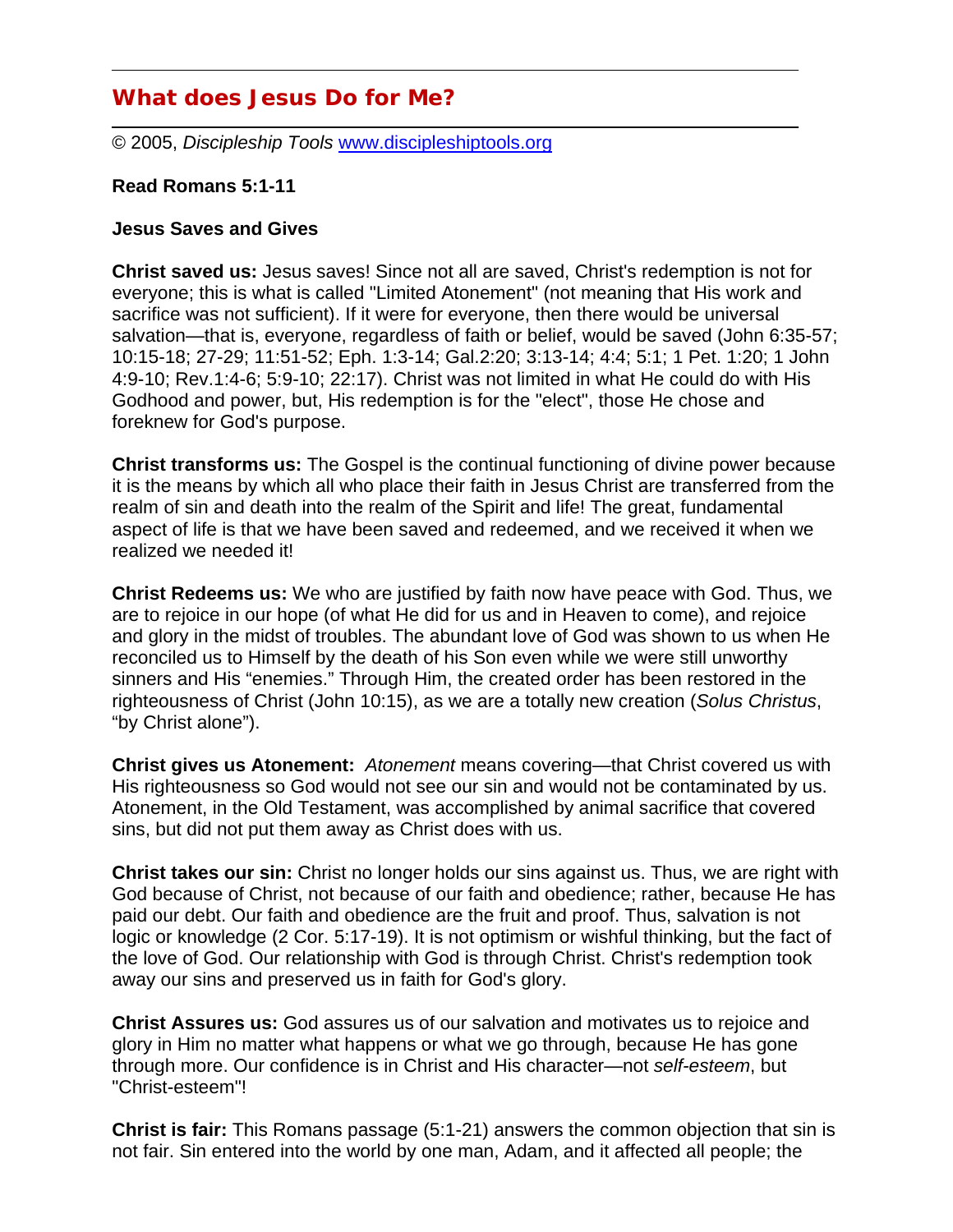# **What does Jesus Do for Me?**

© 2005, *Discipleship Tools* www.discipleshiptools.org

#### **Read Romans 5:1-11**

#### **Jesus Saves and Gives**

**Christ saved us:** Jesus saves! Since not all are saved, Christ's redemption is not for everyone; this is what is called "Limited Atonement" (not meaning that His work and sacrifice was not sufficient). If it were for everyone, then there would be universal salvation—that is, everyone, regardless of faith or belief, would be saved (John 6:35-57; 10:15-18; 27-29; 11:51-52; Eph. 1:3-14; Gal.2:20; 3:13-14; 4:4; 5:1; 1 Pet. 1:20; 1 John 4:9-10; Rev.1:4-6; 5:9-10; 22:17). Christ was not limited in what He could do with His Godhood and power, but, His redemption is for the "elect", those He chose and foreknew for God's purpose.

**Christ transforms us:** The Gospel is the continual functioning of divine power because it is the means by which all who place their faith in Jesus Christ are transferred from the realm of sin and death into the realm of the Spirit and life! The great, fundamental aspect of life is that we have been saved and redeemed, and we received it when we realized we needed it!

**Christ Redeems us:** We who are justified by faith now have peace with God. Thus, we are to rejoice in our hope (of what He did for us and in Heaven to come), and rejoice and glory in the midst of troubles. The abundant love of God was shown to us when He reconciled us to Himself by the death of his Son even while we were still unworthy sinners and His "enemies." Through Him, the created order has been restored in the righteousness of Christ (John 10:15), as we are a totally new creation (*Solus Christus*, "by Christ alone").

**Christ gives us Atonement:** *Atonement* means covering—that Christ covered us with His righteousness so God would not see our sin and would not be contaminated by us. Atonement, in the Old Testament, was accomplished by animal sacrifice that covered sins, but did not put them away as Christ does with us.

**Christ takes our sin:** Christ no longer holds our sins against us. Thus, we are right with God because of Christ, not because of our faith and obedience; rather, because He has paid our debt. Our faith and obedience are the fruit and proof. Thus, salvation is not logic or knowledge (2 Cor. 5:17-19). It is not optimism or wishful thinking, but the fact of the love of God. Our relationship with God is through Christ. Christ's redemption took away our sins and preserved us in faith for God's glory.

**Christ Assures us:** God assures us of our salvation and motivates us to rejoice and glory in Him no matter what happens or what we go through, because He has gone through more. Our confidence is in Christ and His character—not *self-esteem*, but "Christ-esteem"!

**Christ is fair:** This Romans passage (5:1-21) answers the common objection that sin is not fair. Sin entered into the world by one man, Adam, and it affected all people; the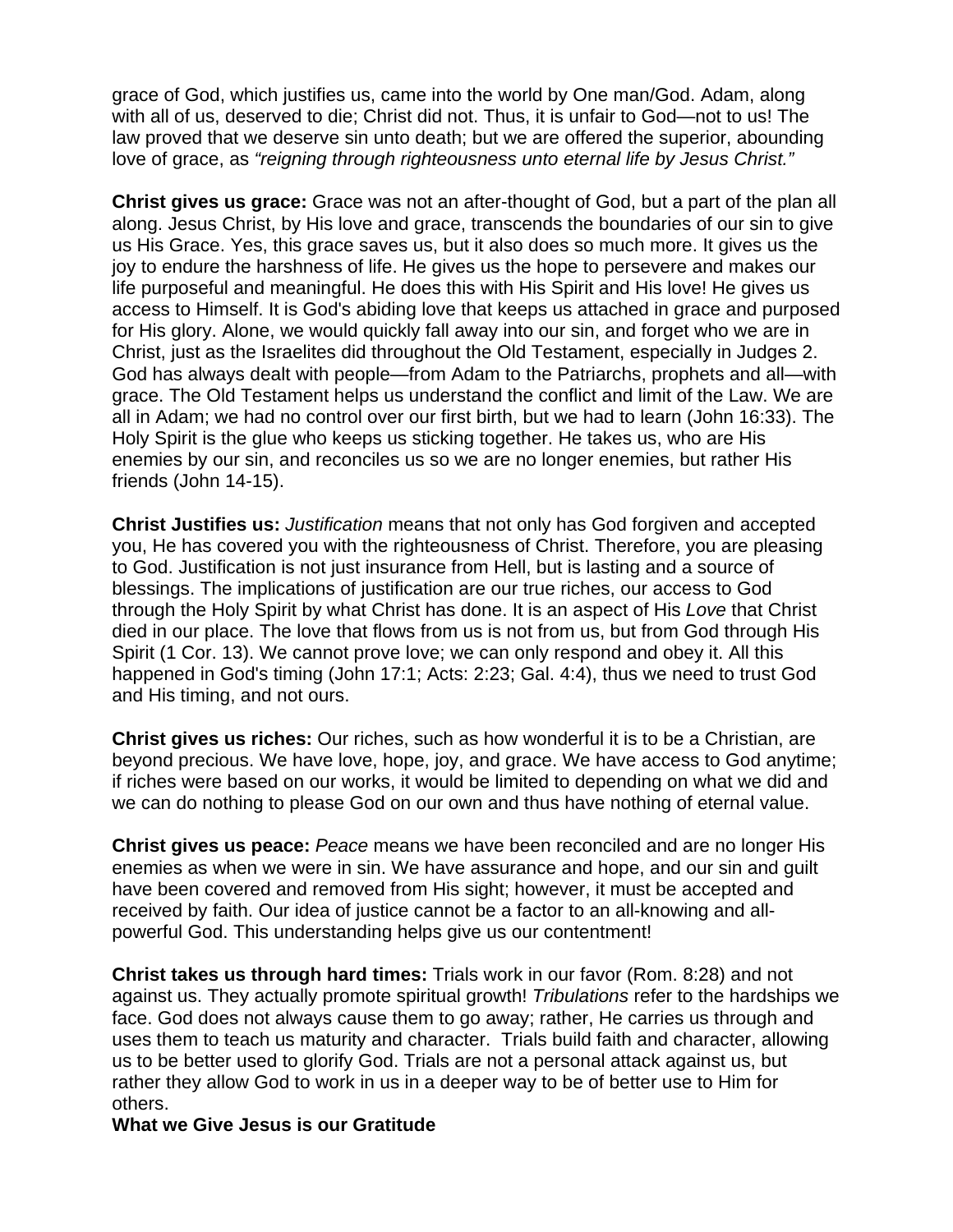grace of God, which justifies us, came into the world by One man/God. Adam, along with all of us, deserved to die; Christ did not. Thus, it is unfair to God—not to us! The law proved that we deserve sin unto death; but we are offered the superior, abounding love of grace, as *"reigning through righteousness unto eternal life by Jesus Christ."*

**Christ gives us grace:** Grace was not an after-thought of God, but a part of the plan all along. Jesus Christ, by His love and grace, transcends the boundaries of our sin to give us His Grace. Yes, this grace saves us, but it also does so much more. It gives us the joy to endure the harshness of life. He gives us the hope to persevere and makes our life purposeful and meaningful. He does this with His Spirit and His love! He gives us access to Himself. It is God's abiding love that keeps us attached in grace and purposed for His glory. Alone, we would quickly fall away into our sin, and forget who we are in Christ, just as the Israelites did throughout the Old Testament, especially in Judges 2. God has always dealt with people—from Adam to the Patriarchs, prophets and all—with grace. The Old Testament helps us understand the conflict and limit of the Law. We are all in Adam; we had no control over our first birth, but we had to learn (John 16:33). The Holy Spirit is the glue who keeps us sticking together. He takes us, who are His enemies by our sin, and reconciles us so we are no longer enemies, but rather His friends (John 14-15).

**Christ Justifies us:** *Justification* means that not only has God forgiven and accepted you, He has covered you with the righteousness of Christ. Therefore, you are pleasing to God. Justification is not just insurance from Hell, but is lasting and a source of blessings. The implications of justification are our true riches, our access to God through the Holy Spirit by what Christ has done. It is an aspect of His *Love* that Christ died in our place. The love that flows from us is not from us, but from God through His Spirit (1 Cor. 13). We cannot prove love; we can only respond and obey it. All this happened in God's timing (John 17:1; Acts: 2:23; Gal. 4:4), thus we need to trust God and His timing, and not ours.

**Christ gives us riches:** Our riches, such as how wonderful it is to be a Christian, are beyond precious. We have love, hope, joy, and grace. We have access to God anytime; if riches were based on our works, it would be limited to depending on what we did and we can do nothing to please God on our own and thus have nothing of eternal value.

**Christ gives us peace:** *Peace* means we have been reconciled and are no longer His enemies as when we were in sin. We have assurance and hope, and our sin and guilt have been covered and removed from His sight; however, it must be accepted and received by faith. Our idea of justice cannot be a factor to an all-knowing and allpowerful God. This understanding helps give us our contentment!

**Christ takes us through hard times:** Trials work in our favor (Rom. 8:28) and not against us. They actually promote spiritual growth! *Tribulations* refer to the hardships we face. God does not always cause them to go away; rather, He carries us through and uses them to teach us maturity and character. Trials build faith and character, allowing us to be better used to glorify God. Trials are not a personal attack against us, but rather they allow God to work in us in a deeper way to be of better use to Him for others.

**What we Give Jesus is our Gratitude**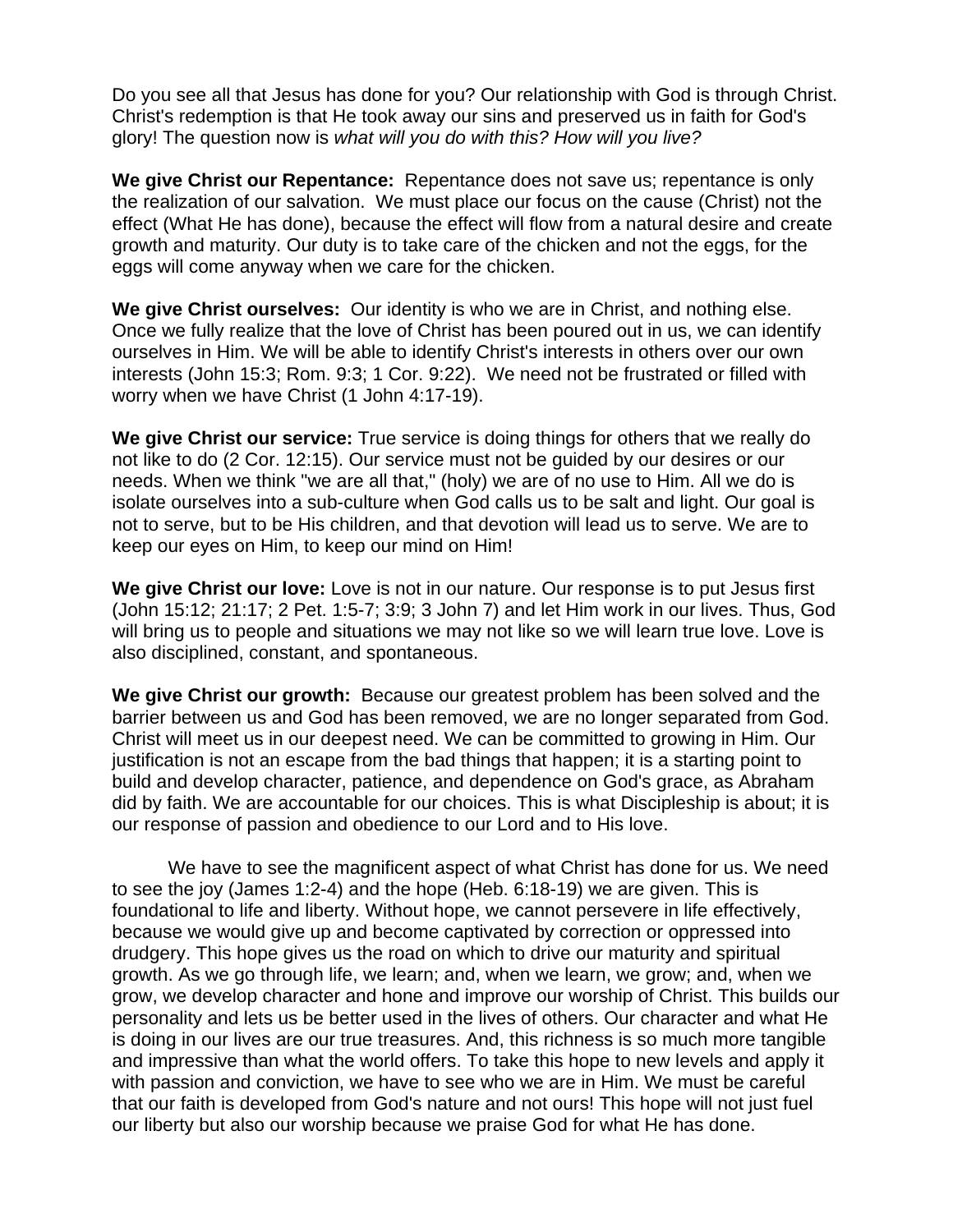Do you see all that Jesus has done for you? Our relationship with God is through Christ. Christ's redemption is that He took away our sins and preserved us in faith for God's glory! The question now is *what will you do with this? How will you live?* 

**We give Christ our Repentance:** Repentance does not save us; repentance is only the realization of our salvation. We must place our focus on the cause (Christ) not the effect (What He has done), because the effect will flow from a natural desire and create growth and maturity. Our duty is to take care of the chicken and not the eggs, for the eggs will come anyway when we care for the chicken.

**We give Christ ourselves:** Our identity is who we are in Christ, and nothing else. Once we fully realize that the love of Christ has been poured out in us, we can identify ourselves in Him. We will be able to identify Christ's interests in others over our own interests (John 15:3; Rom. 9:3; 1 Cor. 9:22). We need not be frustrated or filled with worry when we have Christ (1 John 4:17-19).

**We give Christ our service:** True service is doing things for others that we really do not like to do (2 Cor. 12:15). Our service must not be guided by our desires or our needs. When we think "we are all that," (holy) we are of no use to Him. All we do is isolate ourselves into a sub-culture when God calls us to be salt and light. Our goal is not to serve, but to be His children, and that devotion will lead us to serve. We are to keep our eyes on Him, to keep our mind on Him!

**We give Christ our love:** Love is not in our nature. Our response is to put Jesus first (John 15:12; 21:17; 2 Pet. 1:5-7; 3:9; 3 John 7) and let Him work in our lives. Thus, God will bring us to people and situations we may not like so we will learn true love. Love is also disciplined, constant, and spontaneous.

**We give Christ our growth:** Because our greatest problem has been solved and the barrier between us and God has been removed, we are no longer separated from God. Christ will meet us in our deepest need. We can be committed to growing in Him. Our justification is not an escape from the bad things that happen; it is a starting point to build and develop character, patience, and dependence on God's grace, as Abraham did by faith. We are accountable for our choices. This is what Discipleship is about; it is our response of passion and obedience to our Lord and to His love.

We have to see the magnificent aspect of what Christ has done for us. We need to see the joy (James 1:2-4) and the hope (Heb. 6:18-19) we are given. This is foundational to life and liberty. Without hope, we cannot persevere in life effectively, because we would give up and become captivated by correction or oppressed into drudgery. This hope gives us the road on which to drive our maturity and spiritual growth. As we go through life, we learn; and, when we learn, we grow; and, when we grow, we develop character and hone and improve our worship of Christ. This builds our personality and lets us be better used in the lives of others. Our character and what He is doing in our lives are our true treasures. And, this richness is so much more tangible and impressive than what the world offers. To take this hope to new levels and apply it with passion and conviction, we have to see who we are in Him. We must be careful that our faith is developed from God's nature and not ours! This hope will not just fuel our liberty but also our worship because we praise God for what He has done.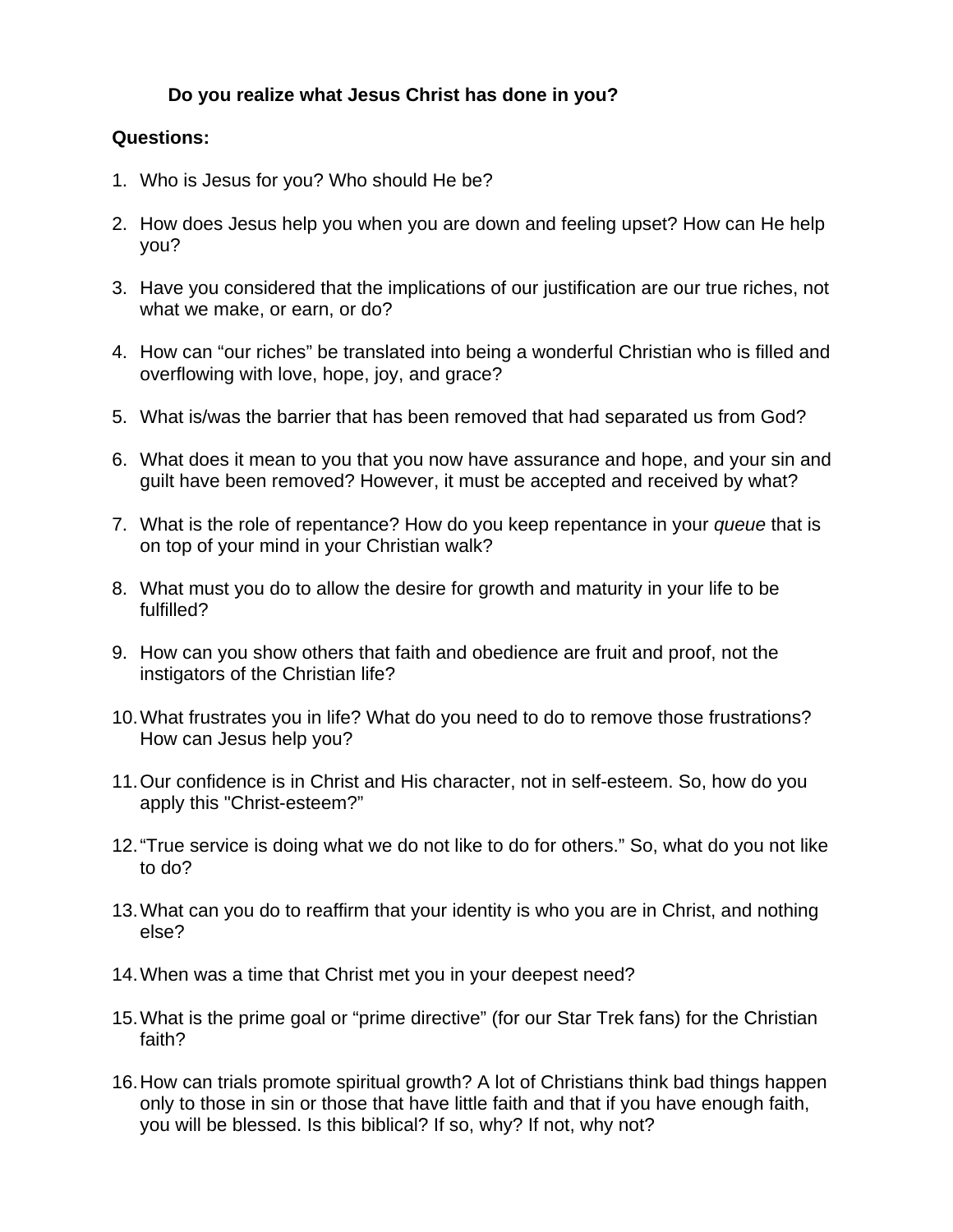## **Do you realize what Jesus Christ has done in you?**

### **Questions:**

- 1. Who is Jesus for you? Who should He be?
- 2. How does Jesus help you when you are down and feeling upset? How can He help you?
- 3. Have you considered that the implications of our justification are our true riches, not what we make, or earn, or do?
- 4. How can "our riches" be translated into being a wonderful Christian who is filled and overflowing with love, hope, joy, and grace?
- 5. What is/was the barrier that has been removed that had separated us from God?
- 6. What does it mean to you that you now have assurance and hope, and your sin and guilt have been removed? However, it must be accepted and received by what?
- 7. What is the role of repentance? How do you keep repentance in your *queue* that is on top of your mind in your Christian walk?
- 8. What must you do to allow the desire for growth and maturity in your life to be fulfilled?
- 9. How can you show others that faith and obedience are fruit and proof, not the instigators of the Christian life?
- 10. What frustrates you in life? What do you need to do to remove those frustrations? How can Jesus help you?
- 11. Our confidence is in Christ and His character, not in self-esteem. So, how do you apply this "Christ-esteem?"
- 12. "True service is doing what we do not like to do for others." So, what do you not like to do?
- 13. What can you do to reaffirm that your identity is who you are in Christ, and nothing else?
- 14. When was a time that Christ met you in your deepest need?
- 15. What is the prime goal or "prime directive" (for our Star Trek fans) for the Christian faith?
- 16. How can trials promote spiritual growth? A lot of Christians think bad things happen only to those in sin or those that have little faith and that if you have enough faith, you will be blessed. Is this biblical? If so, why? If not, why not?